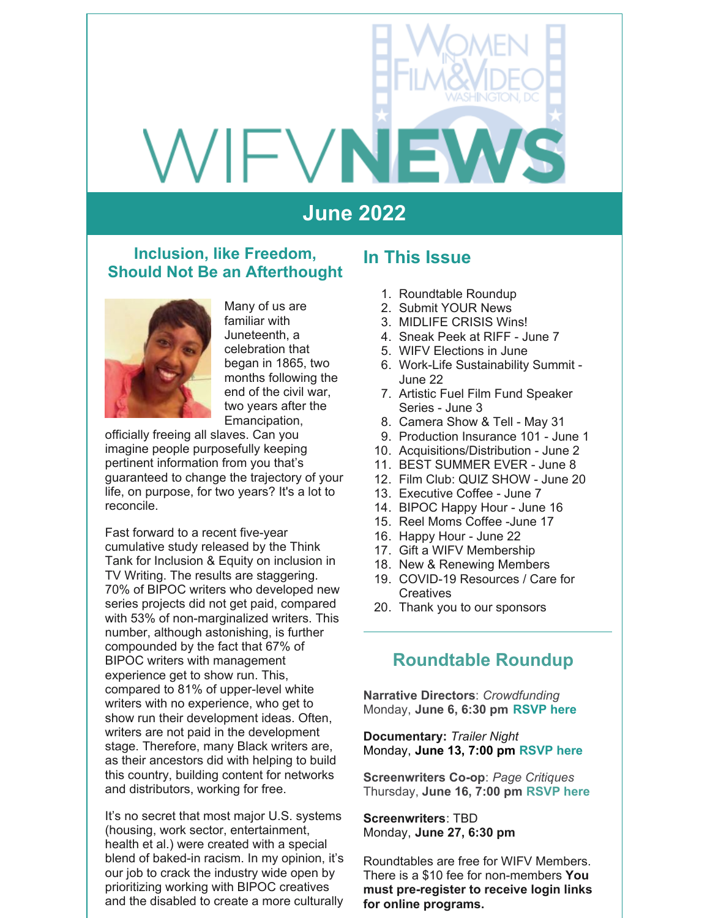# VIFVN

# **June 2022**

#### **Inclusion, like Freedom, Should Not Be an Afterthought**



Many of us are familiar with Juneteenth, a celebration that began in 1865, two months following the end of the civil war, two years after the Emancipation,

officially freeing all slaves. Can you imagine people purposefully keeping pertinent information from you that's guaranteed to change the trajectory of your life, on purpose, for two years? It's a lot to reconcile.

Fast forward to a recent five-year cumulative study released by the Think Tank for Inclusion & Equity on inclusion in TV Writing. The results are staggering. 70% of BIPOC writers who developed new series projects did not get paid, compared with 53% of non-marginalized writers. This number, although astonishing, is further compounded by the fact that 67% of BIPOC writers with management experience get to show run. This, compared to 81% of upper-level white writers with no experience, who get to show run their development ideas. Often, writers are not paid in the development stage. Therefore, many Black writers are, as their ancestors did with helping to build this country, building content for networks and distributors, working for free.

It's no secret that most major U.S. systems (housing, work sector, entertainment, health et al.) were created with a special blend of baked-in racism. In my opinion, it's our job to crack the industry wide open by prioritizing working with BIPOC creatives and the disabled to create a more culturally

#### **In This Issue**

- 1. Roundtable Roundup
- 2. Submit YOUR News
- 3. MIDLIFE CRISIS Wins!
- 4. Sneak Peek at RIFF June 7
- 5. WIFV Elections in June
- 6. Work-Life Sustainability Summit June 22
- 7. Artistic Fuel Film Fund Speaker Series - June 3
- 8. Camera Show & Tell May 31
- 9. Production Insurance 101 June 1
- 10. Acquisitions/Distribution June 2
- 11. BEST SUMMER EVER June 8
- 12. Film Club: QUIZ SHOW June 20
- 13. Executive Coffee June 7
- 14. BIPOC Happy Hour June 16
- 15. Reel Moms Coffee -June 17
- 16. Happy Hour June 22
- 17. Gift a WIFV Membership
- 18. New & Renewing Members
- 19. COVID-19 Resources / Care for **Creatives**
- 20. Thank you to our sponsors

#### **Roundtable Roundup**

**Narrative Directors**: *Crowdfunding* Monday, **June 6, 6:30 pm [RSVP](https://www.wifv.org/calendar/#id=21504&cid=783&wid=401&type=Cal) here**

**Documentary:** *Trailer Night* Monday, **June 13, 7:00 pm [RSVP](https://www.eventbrite.com/e/documentary-roundtable-trailer-night-tickets-342697656917) here**

**Screenwriters Co-op**: *Page Critiques* Thursday, **June 16, 7:00 pm [RSVP](https://www.wifv.org/calendar/#id=21502&cid=783&wid=401&type=Cal) here**

**Screenwriters**: TBD Monday, **June 27, 6:30 pm**

Roundtables are free for WIFV Members. There is a \$10 fee for non-members **You must pre-register to receive login links for online programs.**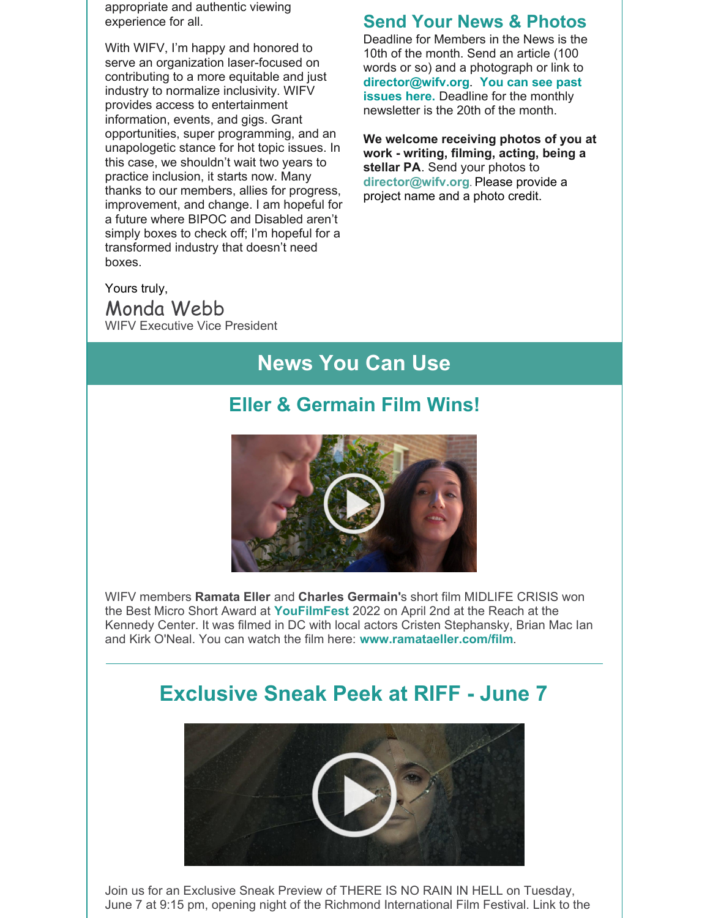appropriate and authentic viewing experience for all.

With WIFV, I'm happy and honored to serve an organization laser-focused on contributing to a more equitable and just industry to normalize inclusivity. WIFV provides access to entertainment information, events, and gigs. Grant opportunities, super programming, and an unapologetic stance for hot topic issues. In this case, we shouldn't wait two years to practice inclusion, it starts now. Many thanks to our members, allies for progress, improvement, and change. I am hopeful for a future where BIPOC and Disabled aren't simply boxes to check off; I'm hopeful for a transformed industry that doesn't need boxes.

#### **Send Your News & Photos**

Deadline for Members in the News is the 10th of the month. Send an article (100 words or so) and a photograph or link to **[director@wifv.org](https://www.wifv.org/news/newsletter/)**. **You can see past issues here.** Deadline for the monthly newsletter is the 20th of the month.

**We welcome receiving photos of you at work - writing, filming, acting, being a stellar PA**. Send your photos to **[director@wifv.org](mailto:director@wifv.org)**. Please provide a project name and a photo credit.

Yours truly,

Monda Webb WIFV Executive Vice President

# **News You Can Use**

## **Eller & Germain Film Wins!**



WIFV members **Ramata Eller** and **Charles Germain'**s short film MIDLIFE CRISIS won the Best Micro Short Award at **[YouFilmFest](https://www.kennedy-center.org/whats-on/explore-by-genre/film/2021-2022/you-film-festival-r/)** 2022 on April 2nd at the Reach at the Kennedy Center. It was filmed in DC with local actors Cristen Stephansky, Brian Mac Ian and Kirk O'Neal. You can watch the film here: **[www.ramataeller.com/film](http://www.ramataeller.com/film)**.

# **Exclusive Sneak Peek at RIFF - June 7**



Join us for an Exclusive Sneak Preview of THERE IS NO RAIN IN HELL on Tuesday, June 7 at 9:15 pm, opening night of the Richmond International Film Festival. Link to the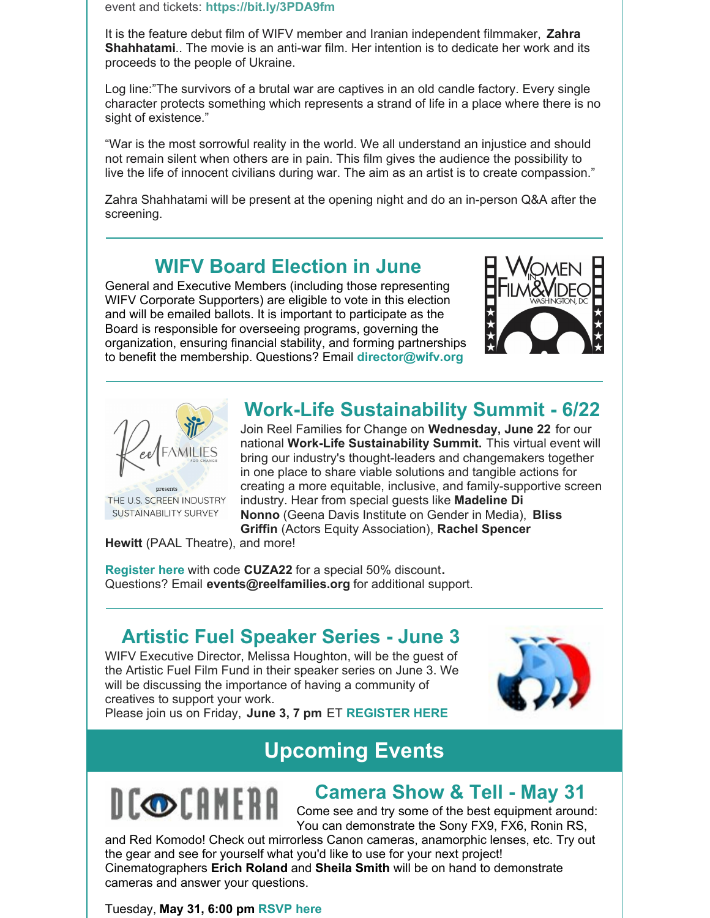event and tickets: **<https://bit.ly/3PDA9fm>**

It is the feature debut film of WIFV member and Iranian independent filmmaker, **Zahra Shahhatami**.. The movie is an anti-war film. Her intention is to dedicate her work and its proceeds to the people of Ukraine.

Log line:"The survivors of a brutal war are captives in an old candle factory. Every single character protects something which represents a strand of life in a place where there is no sight of existence."

"War is the most sorrowful reality in the world. We all understand an injustice and should not remain silent when others are in pain. This film gives the audience the possibility to live the life of innocent civilians during war. The aim as an artist is to create compassion."

Zahra Shahhatami will be present at the opening night and do an in-person Q&A after the screening.

#### **WIFV Board Election in June**

General and Executive Members (including those representing WIFV Corporate Supporters) are eligible to vote in this election and will be emailed ballots. It is important to participate as the Board is responsible for overseeing programs, governing the organization, ensuring financial stability, and forming partnerships to benefit the membership. Questions? Email **[director@wifv.org](mailto:director@wifv.org)**





THE U.S. SCREEN INDUSTRY SUSTAINABILITY SURVEY

# **Work-Life Sustainability Summit - 6/22**

Join Reel Families for Change on **Wednesday, June 22** for our national **Work-Life Sustainability Summit.** This virtual event will bring our industry's thought-leaders and changemakers together in one place to share viable solutions and tangible actions for creating a more equitable, inclusive, and family-supportive screen industry. Hear from special guests like **Madeline Di Nonno** (Geena Davis Institute on Gender in Media), **Bliss Griffin** (Actors Equity Association), **Rachel Spencer**

**Hewitt** (PAAL Theatre), and more!

**[Register](https://www.reelfamiliesforchange.org/summit/) here** with code **CUZA22** for a special 50% discount**.** Questions? Email **[events@reelfamilies.org](mailto:events@reelfamilies.org)** for additional support.

# **Artistic Fuel Speaker Series - June 3**

WIFV Executive Director, Melissa Houghton, will be the guest of the Artistic Fuel Film Fund in their speaker series on June 3. We will be discussing the importance of having a community of creatives to support your work.



Please join us on Friday, **June 3, 7 pm** ET **[REGISTER](https://www.eventbrite.com/e/artistic-fuel-film-fund-melissa-hougton-of-women-in-film-video-tickets-343340770487?aff=affiliate7) HERE**

# **Upcoming Events**



#### **Camera Show & Tell - May 31**

Come see and try some of the best equipment around: You can demonstrate the Sony FX9, FX6, Ronin RS,

and Red Komodo! Check out mirrorless Canon cameras, anamorphic lenses, etc. Try out the gear and see for yourself what you'd like to use for your next project! Cinematographers **Erich Roland** and **Sheila Smith** will be on hand to demonstrate cameras and answer your questions.

Tuesday, **May 31, 6:00 pm [RSVP](https://r20.rs6.net/tn.jsp?f=001h1NJsH7bC80MrwRwr1iHD1i-ZY6QwofbVIYTAmBA07JNOEaRrwgAa6gPJcxpbKD5stGX2_HZHvMIiz7RKNPADSzEiMZIeSdKxYcep0Z26O4brxk43HPaS_HZiaAWwV50QSLogcAAcEE576imTcERneW6tbciuBPxgyI16aEBZ519YTD2mfBJLrqWodl27TaISHtO-X8BNWA0vVF1rFK-yqzL1Hk3Mp62&c=dEnoz49Gpm7HeFSnyTPvZV5oHtx3BaoLL_g2ZQO6j6mbZyOIvyGA-w==&ch=dsJrz81Z18UJnySfnuEaNYEY65F4OV4Ag1ptT2zypAXyQnVNLHtRQQ==) here**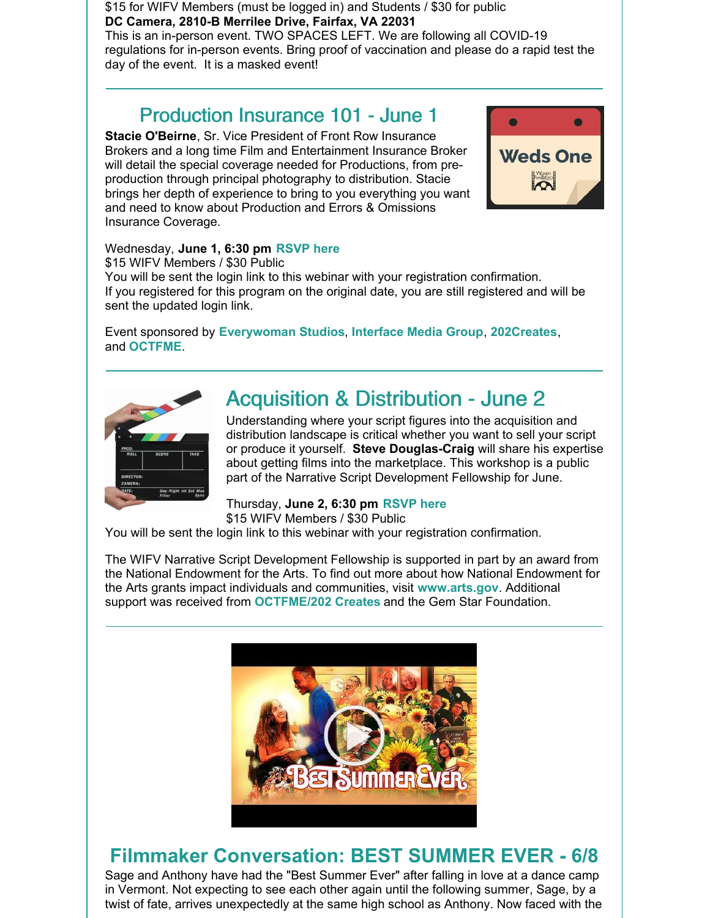\$15 for WIFV Members (must be logged in) and Students / \$30 for public **DC Camera, 2810-B Merrilee Drive, Fairfax, VA 22031** This is an in-person event. TWO SPACES LEFT. We are following all COVID-19 regulations for in-person events. Bring proof of vaccination and please do a rapid test the day of the event. It is a masked event!

## Production Insurance 101 - June 1

**Stacie O'Beirne**, Sr. Vice President of Front Row Insurance Brokers and a long time Film and Entertainment Insurance Broker will detail the special coverage needed for Productions, from preproduction through principal photography to distribution. Stacie brings her depth of experience to bring to you everything you want and need to know about Production and Errors & Omissions Insurance Coverage.



#### Wednesday, **June 1, 6:30 pm [RSVP](https://r20.rs6.net/tn.jsp?f=001h1NJsH7bC80MrwRwr1iHD1i-ZY6QwofbVIYTAmBA07JNOEaRrwgAaxpw8w6R8lSMt3iyTFj7xm2BPdOrAYD3OwjNKy1LEjd_PVOUN2PVXVWbkC4qOniPc7j9cviENGbU70eEyMdMaPiv3x7GQqcYl5nZGEfjY7ZCfOiUbFhtJPCKMP9n5W4R9OG5D1liOSltaxQQVfPWahAq_WXCP8ATvOOFZDbttQz9&c=dEnoz49Gpm7HeFSnyTPvZV5oHtx3BaoLL_g2ZQO6j6mbZyOIvyGA-w==&ch=dsJrz81Z18UJnySfnuEaNYEY65F4OV4Ag1ptT2zypAXyQnVNLHtRQQ==) here**

\$15 WIFV Members / \$30 Public

You will be sent the login link to this webinar with your registration confirmation. If you registered for this program on the original date, you are still registered and will be sent the updated login link.

Event sponsored by **[Everywoman](https://everywomanstudios.com/) Studios**, **[Interface](https://www.interfacemedia.com/?gclid=CjwKCAjwx8iIBhBwEiwA2quaq6EbtRw8fm_ES4lYn6JIc3ZBt-r1SGHRN9VOJCzMwHdSZqzhJk2IPRoCgpMQAvD_BwE) Media Group**, **[202Creates](http://www.202creates.com/)**, and **[OCTFME](https://www.entertainment.dc.gov/)**.



# Acquisition & Distribution - June 2

Understanding where your script figures into the acquisition and distribution landscape is critical whether you want to sell your script or produce it yourself. **Steve Douglas-Craig** will share his expertise about getting films into the marketplace. This workshop is a public part of the Narrative Script Development Fellowship for June.

Thursday, **June 2, 6:30 pm [RSVP](https://r20.rs6.net/tn.jsp?f=001h1NJsH7bC80MrwRwr1iHD1i-ZY6QwofbVIYTAmBA07JNOEaRrwgAaz2sapbZs0-mNoEIRYfQAuFY1TgfPZdfWL286BAd-1gMdQFnRQg-feRMgr7CigMDc7wcIfWRLawv9Yy3FBftKDDY-dxTz08OCTbB5HBcgWPOsnf8bP5GyLf9iXb6mmLjBrky-vkB414pqDI6tIOpLuhU0WNH2eFZzMN5-TF1ert9&c=dEnoz49Gpm7HeFSnyTPvZV5oHtx3BaoLL_g2ZQO6j6mbZyOIvyGA-w==&ch=dsJrz81Z18UJnySfnuEaNYEY65F4OV4Ag1ptT2zypAXyQnVNLHtRQQ==) here** \$15 WIFV Members / \$30 Public

You will be sent the login link to this webinar with your registration confirmation.

The WIFV Narrative Script Development Fellowship is supported in part by an award from the National Endowment for the Arts. To find out more about how National Endowment for the Arts grants impact individuals and communities, visit **[www.arts.gov](http://www.arts.gov/)**. Additional support was received from **[OCTFME/202](http://www.entertainment.dc.gov) Creates** and the Gem Star Foundation.



# **Filmmaker Conversation: BEST SUMMER EVER - 6/8**

Sage and Anthony have had the "Best Summer Ever" after falling in love at a dance camp in Vermont. Not expecting to see each other again until the following summer, Sage, by a twist of fate, arrives unexpectedly at the same high school as Anthony. Now faced with the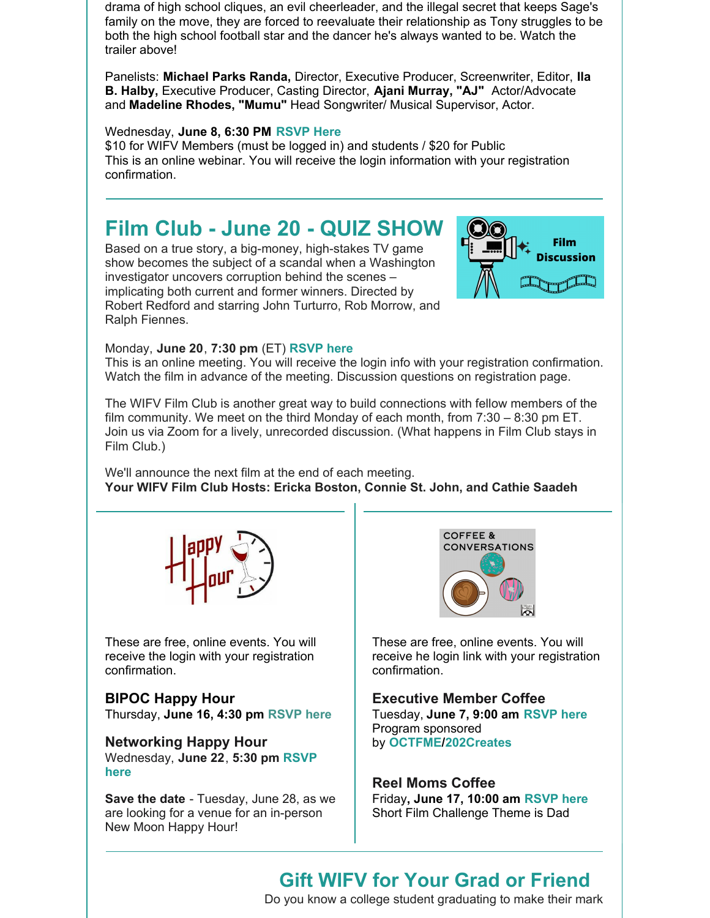drama of high school cliques, an evil cheerleader, and the illegal secret that keeps Sage's family on the move, they are forced to reevaluate their relationship as Tony struggles to be both the high school football star and the dancer he's always wanted to be. Watch the trailer above!

Panelists: **Michael Parks Randa,** Director, Executive Producer, Screenwriter, Editor, **Ila B. Halby,** Executive Producer, Casting Director, **Ajani Murray, "AJ"** Actor/Advocate and **Madeline Rhodes, "Mumu"** Head Songwriter/ Musical Supervisor, Actor.

#### Wednesday, **June 8, 6:30 PM [RSVP](https://r20.rs6.net/tn.jsp?f=001h1NJsH7bC80MrwRwr1iHD1i-ZY6QwofbVIYTAmBA07JNOEaRrwgAaz2sapbZs0-mICXAENNAsse9FdtnKnoFPtP2QSP32JBq4CXQzmahvdfZpTY6sCO1GNeie2Om7U5y3uhLWcppEuvLDM-w9CdMJ_-zkIU7rClP8sMS14_s8obyKeAagW3kXImZZysmXCPmSKzOPv1FCatLiZWM9YcsBd389o7eqyDo&c=dEnoz49Gpm7HeFSnyTPvZV5oHtx3BaoLL_g2ZQO6j6mbZyOIvyGA-w==&ch=dsJrz81Z18UJnySfnuEaNYEY65F4OV4Ag1ptT2zypAXyQnVNLHtRQQ==) Here**

\$10 for WIFV Members (must be logged in) and students / \$20 for Public This is an online webinar. You will receive the login information with your registration confirmation.

# **Film Club - June 20 - QUIZ SHOW**

Based on a true story, a big-money, high-stakes TV game show becomes the subject of a scandal when a Washington investigator uncovers corruption behind the scenes – implicating both current and former winners. Directed by Robert Redford and starring John Turturro, Rob Morrow, and Ralph Fiennes.



#### Monday, **June 20**, **7:30 pm** (ET) **[RSVP](https://www.wifv.org/calendar/#id=21507&cid=783&wid=401&type=Cal) here**

This is an online meeting. You will receive the login info with your registration confirmation. Watch the film in advance of the meeting. Discussion questions on registration page.

The WIFV Film Club is another great way to build connections with fellow members of the film community. We meet on the third Monday of each month, from 7:30 – 8:30 pm ET. Join us via Zoom for a lively, unrecorded discussion. (What happens in Film Club stays in Film Club.)

We'll announce the next film at the end of each meeting. **Your WIFV Film Club Hosts: Ericka Boston, Connie St. John, and Cathie Saadeh**



These are free, online events. You will receive the login with your registration confirmation.

**BIPOC Happy Hour** Thursday, **June 16, 4:30 pm [RSVP](https://www.wifv.org/calendar/#id=21501&cid=783&wid=401&type=Cal) here**

**Networking Happy Hour** [Wednesday,](https://www.wifv.org/calendar/#id=21504&cid=783&wid=401&type=Cal) **June 22**, **5:30 pm RSVP here**

**Save the date** - Tuesday, June 28, as we are looking for a venue for an in-person New Moon Happy Hour!



These are free, online events. You will receive he login link with your registration confirmation.

**Executive Member Coffee** Tuesday, **June 7, 9:00 am [RSVP](https://r20.rs6.net/tn.jsp?f=001h1NJsH7bC80MrwRwr1iHD1i-ZY6QwofbVIYTAmBA07JNOEaRrwgAa3y_OFsH2_CCeT5AGOvUEPUGNt4tADjVrspPUtl85f-t688iNwrJUwf17pUP7pZ1_0lqfFeEHLrDjABAqkUvULM5FLeWQQjd44Loy8vIfqA6E-btPA617SLZq4tqsHEzMaLJP2kSBe3DYpMhZJi1s1EOcFShy76_c2cO94wUk_CF&c=dEnoz49Gpm7HeFSnyTPvZV5oHtx3BaoLL_g2ZQO6j6mbZyOIvyGA-w==&ch=dsJrz81Z18UJnySfnuEaNYEY65F4OV4Ag1ptT2zypAXyQnVNLHtRQQ==) here** Program sponsored by **[OCTFME/202Creates](https://r20.rs6.net/tn.jsp?f=001h1NJsH7bC80MrwRwr1iHD1i-ZY6QwofbVIYTAmBA07JNOEaRrwgAa6gPJcxpbKD5uZFRrRDgYEd61Utxx-cVCM-ihCeOHL_7upGI3Q_Nee13WXP0TtApg8q4Z1IX3exi5G7EKXqB4NyUAKX-c-kxb8WcVj0twpyX&c=dEnoz49Gpm7HeFSnyTPvZV5oHtx3BaoLL_g2ZQO6j6mbZyOIvyGA-w==&ch=dsJrz81Z18UJnySfnuEaNYEY65F4OV4Ag1ptT2zypAXyQnVNLHtRQQ==)**

**Reel Moms Coffee** Friday**, June 17, 10:00 am [RSVP](https://www.wifv.org/calendar/#id=21490&cid=783&wid=401&type=Cal) here** Short Film Challenge Theme is Dad

#### **Gift WIFV for Your Grad or Friend**

Do you know a college student graduating to make their mark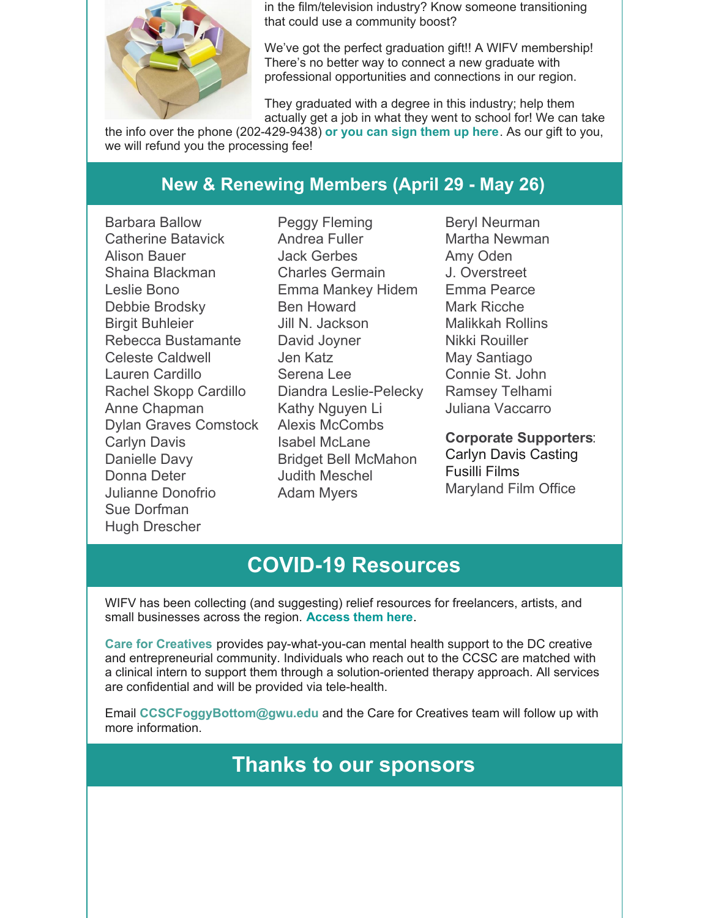

in the film/television industry? Know someone transitioning that could use a community boost?

We've got the perfect graduation gift!! A WIFV membership! There's no better way to connect a new graduate with professional opportunities and connections in our region.

They graduated with a degree in this industry; help them actually get a job in what they went to school for! We can take

the info over the phone (202-429-9438) **or you can sign [them](https://www.wifv.org/join/) up here**. As our gift to you, we will refund you the processing fee!

### **New & Renewing Members (April 29 - May 26)**

Barbara Ballow Catherine Batavick Alison Bauer Shaina Blackman Leslie Bono Debbie Brodsky Birgit Buhleier Rebecca Bustamante Celeste Caldwell Lauren Cardillo Rachel Skopp Cardillo Anne Chapman Dylan Graves Comstock Carlyn Davis Danielle Davy Donna Deter Julianne Donofrio Sue Dorfman Hugh Drescher

Peggy Fleming Andrea Fuller Jack Gerbes Charles Germain Emma Mankey Hidem Ben Howard Jill N. Jackson David Joyner Jen Katz Serena Lee Diandra Leslie-Pelecky Kathy Nguyen Li Alexis McCombs Isabel McLane Bridget Bell McMahon Judith Meschel Adam Myers

Beryl Neurman Martha Newman Amy Oden J. Overstreet Emma Pearce Mark Ricche Malikkah Rollins Nikki Rouiller May Santiago Connie St. John Ramsey Telhami Juliana Vaccarro

**Corporate Supporters**: Carlyn Davis Casting Fusilli Films Maryland Film Office

# **COVID-19 Resources**

WIFV has been collecting (and suggesting) relief resources for freelancers, artists, and small businesses across the region. **[Access](https://www.wifv.org/resources/) them here**.

**Care for [Creatives](https://www.creativeaffairsdc.com/partnerships)** provides pay-what-you-can mental health support to the DC creative and entrepreneurial community. Individuals who reach out to the CCSC are matched with a clinical intern to support them through a solution-oriented therapy approach. All services are confidential and will be provided via tele-health.

Email **[CCSCFoggyBottom@gwu.edu](mailto:CCSCFoggyBottom@gwu.edu)** and the Care for Creatives team will follow up with more information.

# **Thanks to our sponsors**